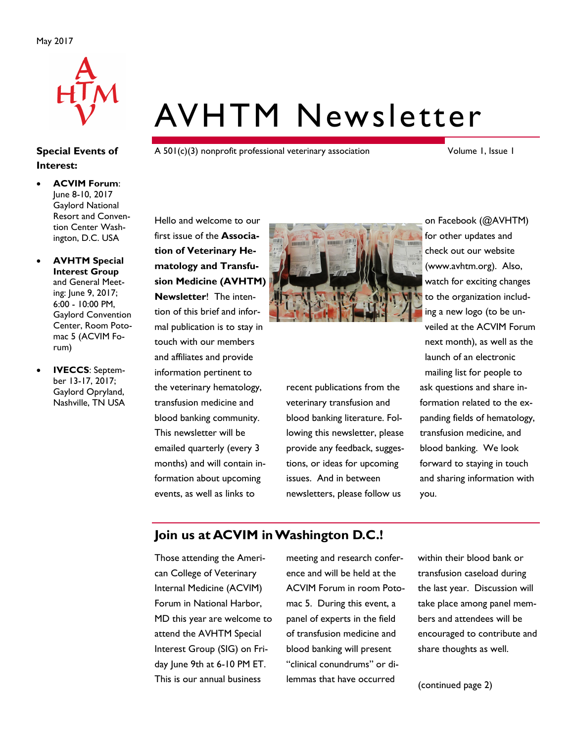

# AVHTM Newsletter

A 501(c)(3) nonprofit professional veterinary association

Volume 1, Issue 1

 **ACVIM Forum**: June 8-10, 2017 Gaylord National Resort and Convention Center Washington, D.C. USA

**Special Events of** 

**Interest:**

- **AVHTM Special Interest Group**  and General Meeting: June 9, 2017; 6:00 - 10:00 PM, Gaylord Convention Center, Room Potomac 5 (ACVIM Forum)
- **IVECCS**: September 13-17, 2017; Gaylord Opryland, Nashville, TN USA

Hello and welcome to our first issue of the **Association of Veterinary Hematology and Transfusion Medicine (AVHTM) Newsletter**! The intention of this brief and informal publication is to stay in touch with our members and affiliates and provide information pertinent to the veterinary hematology, transfusion medicine and blood banking community. This newsletter will be emailed quarterly (every 3 months) and will contain information about upcoming events, as well as links to



recent publications from the veterinary transfusion and blood banking literature. Following this newsletter, please provide any feedback, suggestions, or ideas for upcoming issues. And in between newsletters, please follow us

on Facebook (@AVHTM) for other updates and check out our website ([www.avhtm.org\).](http://www.avhtm.org) Also, watch for exciting changes to the organization including a new logo (to be unveiled at the ACVIM Forum next month), as well as the launch of an electronic mailing list for people to ask questions and share information related to the expanding fields of hematology, transfusion medicine, and blood banking. We look forward to staying in touch and sharing information with you.

## **Join us at ACVIM in Washington D.C.!**

Those attending the American College of Veterinary Internal Medicine (ACVIM) Forum in National Harbor, MD this year are welcome to attend the AVHTM Special Interest Group (SIG) on Friday June 9th at 6-10 PM ET. This is our annual business

meeting and research conference and will be held at the ACVIM Forum in room Potomac 5. During this event, a panel of experts in the field of transfusion medicine and blood banking will present "clinical conundrums" or dilemmas that have occurred

within their blood bank or transfusion caseload during the last year. Discussion will take place among panel members and attendees will be encouraged to contribute and share thoughts as well.

(continued page 2)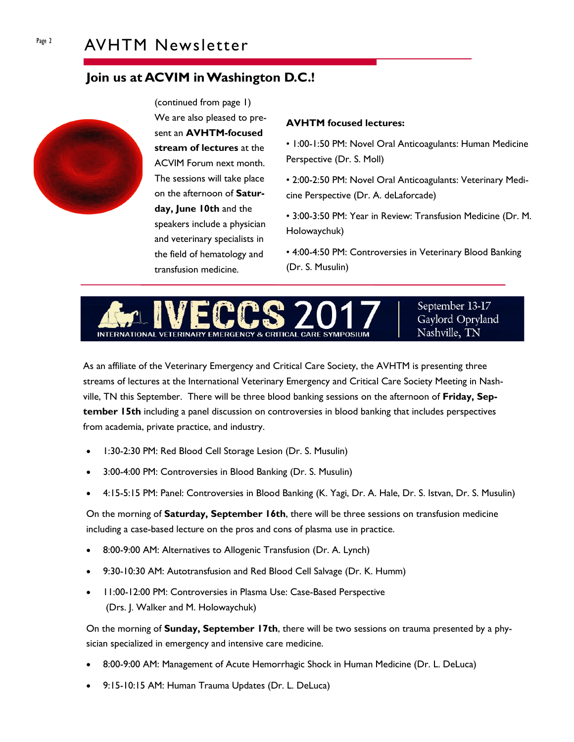# **Join us at ACVIM in Washington D.C.!**



(continued from page 1) We are also pleased to present an **AVHTM-focused stream of lectures** at the ACVIM Forum next month. The sessions will take place on the afternoon of **Saturday, June 10th** and the speakers include a physician and veterinary specialists in the field of hematology and transfusion medicine.

### **AVHTM focused lectures:**

• 1:00-1:50 PM: Novel Oral Anticoagulants: Human Medicine Perspective (Dr. S. Moll)

• 2:00-2:50 PM: Novel Oral Anticoagulants: Veterinary Medicine Perspective (Dr. A. deLaforcade)

• 3:00-3:50 PM: Year in Review: Transfusion Medicine (Dr. M. Holowaychuk)

• 4:00-4:50 PM: Controversies in Veterinary Blood Banking (Dr. S. Musulin)



September 13-17 Gaylord Opryland Nashville, TN

As an affiliate of the Veterinary Emergency and Critical Care Society, the AVHTM is presenting three streams of lectures at the International Veterinary Emergency and Critical Care Society Meeting in Nashville, TN this September. There will be three blood banking sessions on the afternoon of **Friday, September 15th** including a panel discussion on controversies in blood banking that includes perspectives from academia, private practice, and industry.

- 1:30-2:30 PM: Red Blood Cell Storage Lesion (Dr. S. Musulin)
- 3:00-4:00 PM: Controversies in Blood Banking (Dr. S. Musulin)
- 4:15-5:15 PM: Panel: Controversies in Blood Banking (K. Yagi, Dr. A. Hale, Dr. S. Istvan, Dr. S. Musulin)

On the morning of **Saturday, September 16th**, there will be three sessions on transfusion medicine including a case-based lecture on the pros and cons of plasma use in practice.

- 8:00-9:00 AM: Alternatives to Allogenic Transfusion (Dr. A. Lynch)
- 9:30-10:30 AM: Autotransfusion and Red Blood Cell Salvage (Dr. K. Humm)
- 11:00-12:00 PM: Controversies in Plasma Use: Case-Based Perspective (Drs. J. Walker and M. Holowaychuk)

On the morning of **Sunday, September 17th**, there will be two sessions on trauma presented by a physician specialized in emergency and intensive care medicine.

- 8:00-9:00 AM: Management of Acute Hemorrhagic Shock in Human Medicine (Dr. L. DeLuca)
- 9:15-10:15 AM: Human Trauma Updates (Dr. L. DeLuca)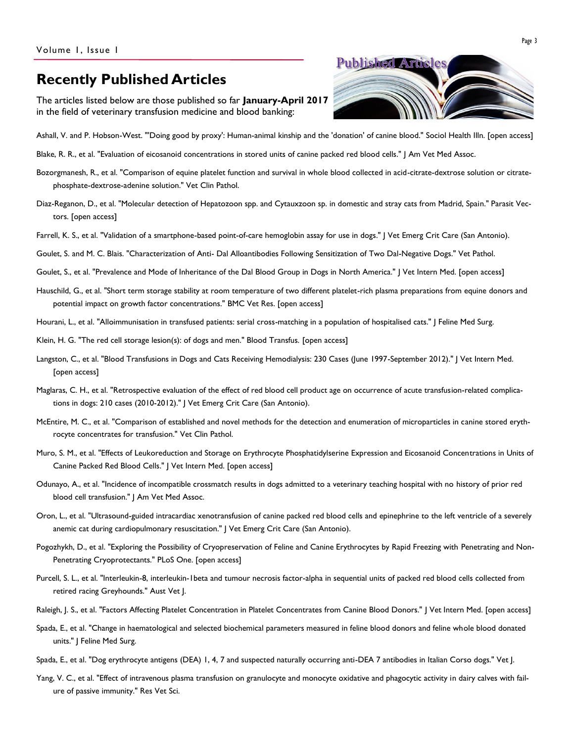# **Recently Published Articles**

The articles listed below are those published so far **January-April 2017** in the field of veterinary transfusion medicine and blood banking:



- [Ashall, V. and P. Hobson-West. "'Doing good by proxy': Human-animal kinship and the 'donation' of canine blood."](http://onlinelibrary.wiley.com/doi/10.1111/1467-9566.12534/abstract;jsessionid=22C9C000F184FD3113E2555AAF00ACBE.f02t04) Sociol Health Illn. [open access]
- [Blake, R. R., et al. "Evaluation of eicosanoid concentrations in stored units of canine packed red blood cells."](http://avmajournals.avma.org/doi/abs/10.2460/javma.250.2.191?url_ver=Z39.88-2003&rfr_id=ori:rid:crossref.org&rfr_dat=cr_pub%3dpubmed) J Am Vet Med Assoc.
- [Bozorgmanesh, R., et al. "Comparison of equine platelet function and survival in whole blood collected in acid-citrate-dextrose solution or citrate](http://onlinelibrary.wiley.com/doi/10.1111/vcp.12491/abstract)[phosphate-dextrose-adenine solution."](http://onlinelibrary.wiley.com/doi/10.1111/vcp.12491/abstract) Vet Clin Pathol.
- [Diaz-Reganon, D., et al. "Molecular detection of Hepatozoon spp. and Cytauxzoon sp. in domestic and stray cats from Madrid, Spain."](https://www.ncbi.nlm.nih.gov/pmc/articles/PMC5346831/) Parasit Vectors. [open access]
- [Farrell, K. S., et al. "Validation of a smartphone-based point-of-care hemoglobin assay for use in dogs."](http://onlinelibrary.wiley.com/doi/10.1111/vec.12571/abstract) J Vet Emerg Crit Care (San Antonio).
- Goulet, S. and M. C. Blais. "Characterization of Anti- [Dal Alloantibodies Following Sensitization of Two Dal-Negative Dogs."](http://journals.sagepub.com/doi/abs/10.1177/0300985816688746?url_ver=Z39.88-2003&rfr_id=ori:rid:crossref.org&rfr_dat=cr_pub%3dpubmed) Vet Pathol.
- [Goulet, S., et al. "Prevalence and Mode of Inheritance of the Dal Blood Group in Dogs in North America."](http://onlinelibrary.wiley.com/doi/10.1111/jvim.14693/abstract) J Vet Intern Med. [open access]
- [Hauschild, G., et al. "Short term storage stability at room temperature of two different platelet-rich plasma preparations from equine donors and](https://www.ncbi.nlm.nih.gov/pmc/articles/PMC5216599/)  [potential impact on growth factor concentrations."](https://www.ncbi.nlm.nih.gov/pmc/articles/PMC5216599/) BMC Vet Res. [open access]
- [Hourani, L., et al. "Alloimmunisation in transfused patients: serial cross-matching in a population of hospitalised cats."](http://journals.sagepub.com/doi/abs/10.1177/1098612X16688574?url_ver=Z39.88-2003&rfr_id=ori:rid:crossref.org&rfr_dat=cr_pub%3dpubmed) J Feline Med Surg.
- [Klein, H. G. "The red cell storage lesion\(s\): of dogs and men." Blood Transfus.](https://www.ncbi.nlm.nih.gov/pmc/articles/PMC5336330/) [open access]
- [Langston, C., et al. "Blood Transfusions in Dogs and Cats Receiving Hemodialysis: 230 Cases \(June 1997-September 2012\)."](https://www.ncbi.nlm.nih.gov/pmc/articles/PMC5354009/) J Vet Intern Med. [open access]
- [Maglaras, C. H., et al. "Retrospective evaluation of the effect of red blood cell product age on occurrence of acute transfusion-related complica](http://onlinelibrary.wiley.com/doi/10.1111/vec.12530/abstract)[tions in dogs: 210 cases \(2010-2012\)."](http://onlinelibrary.wiley.com/doi/10.1111/vec.12530/abstract) J Vet Emerg Crit Care (San Antonio).
- [McEntire, M. C., et al. "Comparison of established and novel methods for the detection and enumeration of microparticles in canine stored eryth](http://onlinelibrary.wiley.com/doi/10.1111/vcp.12434/abstract)[rocyte concentrates for transfusion."](http://onlinelibrary.wiley.com/doi/10.1111/vcp.12434/abstract) Vet Clin Pathol.
- [Muro, S. M., et al. "Effects of Leukoreduction and Storage on Erythrocyte Phosphatidylserine Expression and Eicosanoid Concentrations in Units of](https://www.ncbi.nlm.nih.gov/pmc/articles/PMC5354049/)  [Canine Packed Red Blood Cells."](https://www.ncbi.nlm.nih.gov/pmc/articles/PMC5354049/) J Vet Intern Med. [open access]
- [Odunayo, A., et al. "Incidence of incompatible crossmatch results in dogs admitted to a veterinary teaching hospital with no history of prior red](http://avmajournals.avma.org/doi/abs/10.2460/javma.250.3.303?url_ver=Z39.88-2003&rfr_id=ori:rid:crossref.org&rfr_dat=cr_pub%3dpubmed)  [blood cell transfusion."](http://avmajournals.avma.org/doi/abs/10.2460/javma.250.3.303?url_ver=Z39.88-2003&rfr_id=ori:rid:crossref.org&rfr_dat=cr_pub%3dpubmed) J Am Vet Med Assoc.
- [Oron, L., et al. "Ultrasound-guided intracardiac xenotransfusion of canine packed red blood cells and epinephrine to the left ventricle of a severely](http://onlinelibrary.wiley.com/doi/10.1111/vec.12565/abstract)  [anemic cat during cardiopulmonary resuscitation."](http://onlinelibrary.wiley.com/doi/10.1111/vec.12565/abstract) | Vet Emerg Crit Care (San Antonio).
- [Pogozhykh, D., et al. "Exploring the Possibility of Cryopreservation of Feline and Canine Erythrocytes by Rapid Freezing with](https://www.ncbi.nlm.nih.gov/pmc/articles/PMC5224986/) Penetrating and Non-[Penetrating Cryoprotectants."](https://www.ncbi.nlm.nih.gov/pmc/articles/PMC5224986/) PLoS One. [open access]
- [Purcell, S. L., et al. "Interleukin-8, interleukin-1beta and tumour necrosis factor-alpha in sequential units of packed red blood cells collected from](http://avmajournals.avma.org/doi/abs/10.2460/ajvr.76.11.969?url_ver=Z39.88-2003&rfr_id=ori:rid:crossref.org&rfr_dat=cr_pub%3dpubmed)  [retired racing Greyhounds."](http://avmajournals.avma.org/doi/abs/10.2460/ajvr.76.11.969?url_ver=Z39.88-2003&rfr_id=ori:rid:crossref.org&rfr_dat=cr_pub%3dpubmed) Aust Vet J.
- [Raleigh, J. S., et al. "Factors Affecting Platelet Concentration in Platelet Concentrates from Canine Blood Donors."](http://onlinelibrary.wiley.com/doi/10.1111/jvim.14719/abstract) J Vet Intern Med. [open access]
- [Spada, E., et al. "Change in haematological and selected biochemical parameters measured in feline blood donors and feline whole](http://journals.sagepub.com/doi/abs/10.1177/1098612X16628919?url_ver=Z39.88-2003&rfr_id=ori:rid:crossref.org&rfr_dat=cr_pub%3dpubmed) blood donated [units."](http://journals.sagepub.com/doi/abs/10.1177/1098612X16628919?url_ver=Z39.88-2003&rfr_id=ori:rid:crossref.org&rfr_dat=cr_pub%3dpubmed) | Feline Med Surg.
- [Spada, E., et al. "Dog erythrocyte antigens \(DEA\) 1, 4, 7 and suspected naturally occurring anti-DEA 7 antibodies in Italian Corso dogs."](http://www.sciencedirect.com/science/article/pii/S1090023317300497) Vet J.
- [Yang, V. C., et al. "Effect of intravenous plasma transfusion on granulocyte and monocyte oxidative and phagocytic activity in dairy calves with fail](http://www.sciencedirect.com/science/article/pii/S003452881730070X)[ure of passive immunity."](http://www.sciencedirect.com/science/article/pii/S003452881730070X) Res Vet Sci.